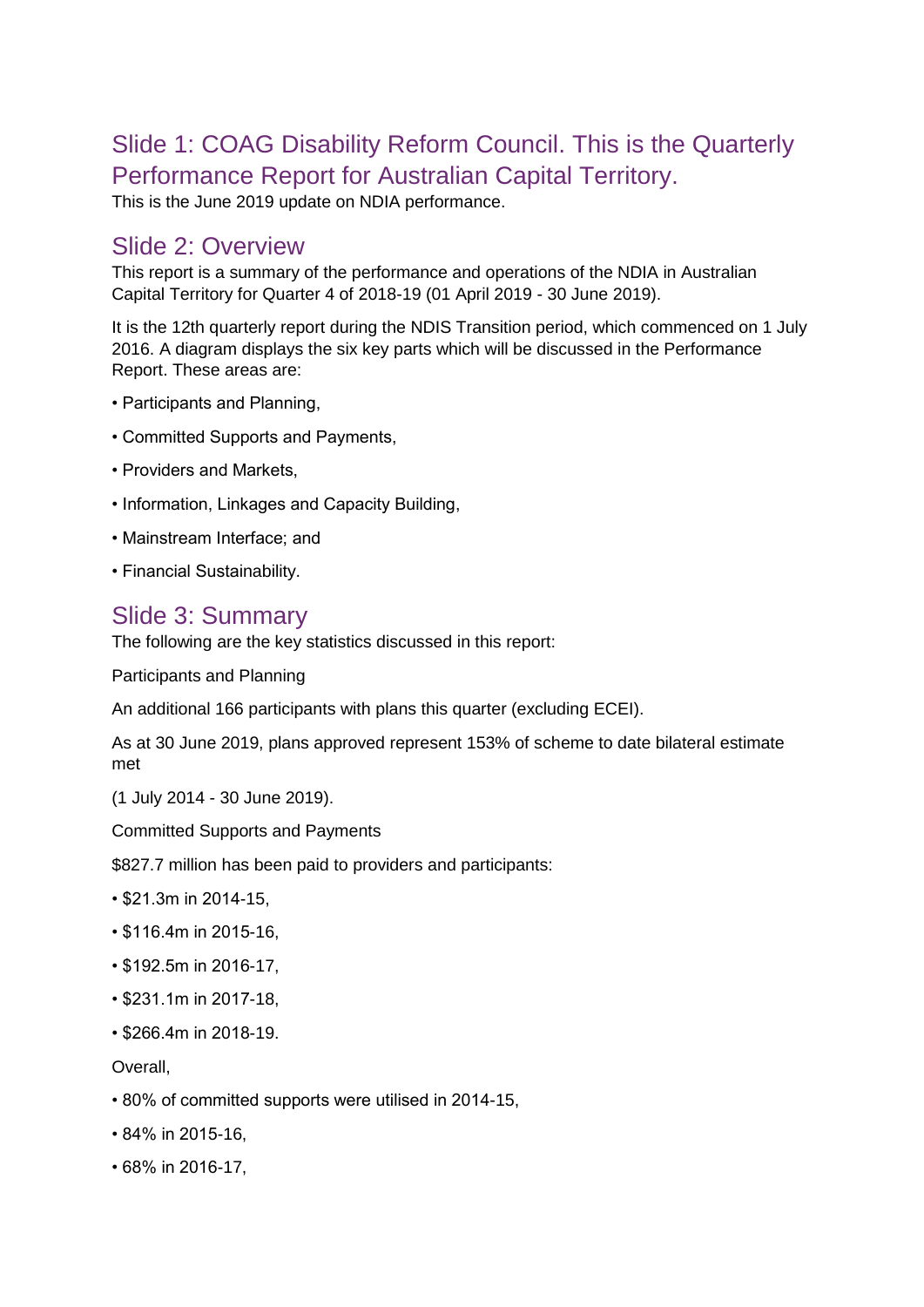# Slide 1: COAG Disability Reform Council. This is the Quarterly Performance Report for Australian Capital Territory.

This is the June 2019 update on NDIA performance.

#### Slide 2: Overview

This report is a summary of the performance and operations of the NDIA in Australian Capital Territory for Quarter 4 of 2018-19 (01 April 2019 - 30 June 2019).

It is the 12th quarterly report during the NDIS Transition period, which commenced on 1 July 2016. A diagram displays the six key parts which will be discussed in the Performance Report. These areas are:

- Participants and Planning,
- Committed Supports and Payments,
- Providers and Markets,
- Information, Linkages and Capacity Building,
- Mainstream Interface; and
- Financial Sustainability.

#### Slide 3: Summary

The following are the key statistics discussed in this report:

Participants and Planning

An additional 166 participants with plans this quarter (excluding ECEI).

As at 30 June 2019, plans approved represent 153% of scheme to date bilateral estimate met

(1 July 2014 - 30 June 2019).

Committed Supports and Payments

\$827.7 million has been paid to providers and participants:

- \$21.3m in 2014-15,
- \$116.4m in 2015-16,
- \$192.5m in 2016-17,
- \$231.1m in 2017-18,
- \$266.4m in 2018-19.

Overall,

- 80% of committed supports were utilised in 2014-15,
- 84% in 2015-16,
- 68% in 2016-17,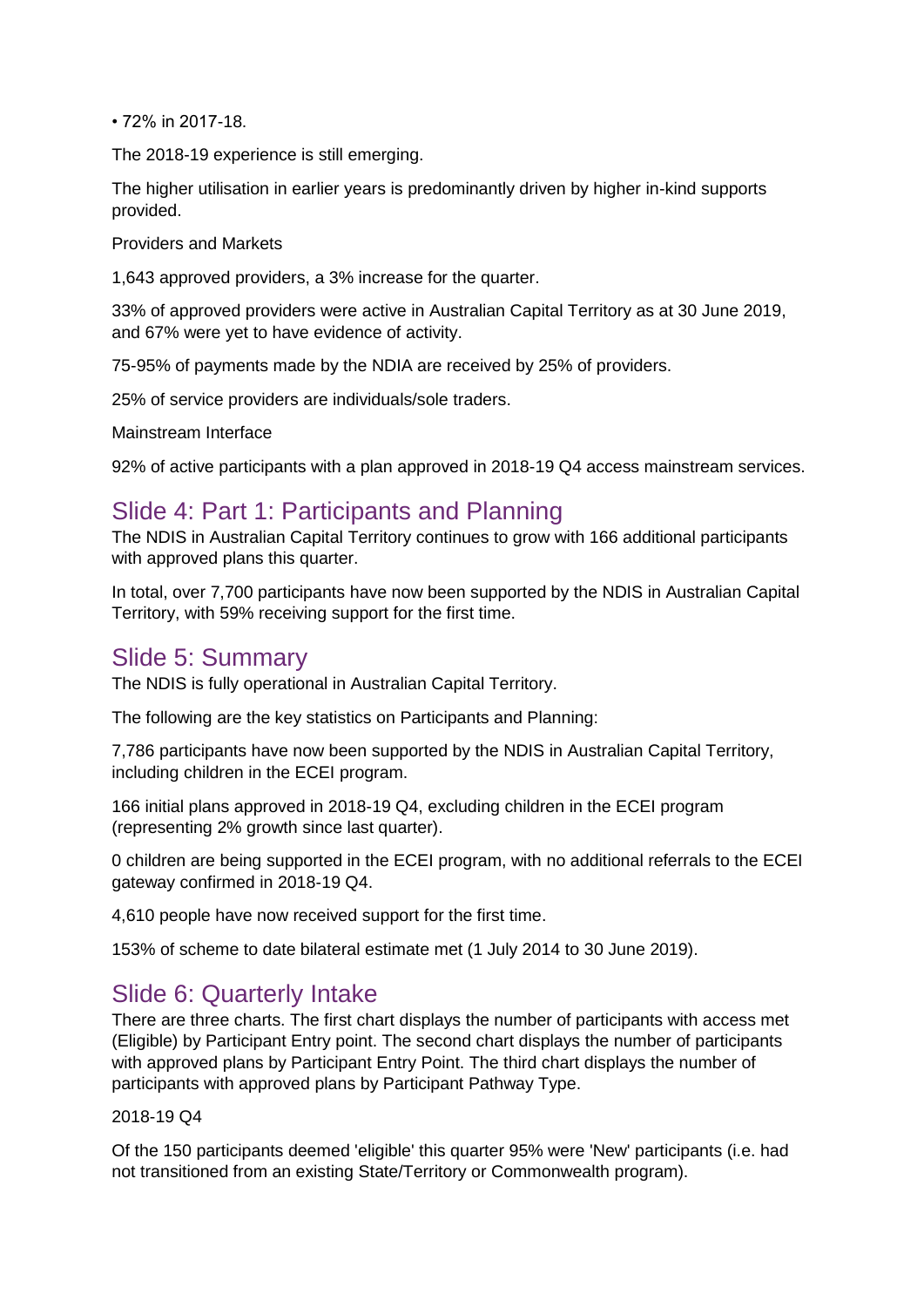• 72% in 2017-18.

The 2018-19 experience is still emerging.

The higher utilisation in earlier years is predominantly driven by higher in-kind supports provided.

Providers and Markets

1,643 approved providers, a 3% increase for the quarter.

33% of approved providers were active in Australian Capital Territory as at 30 June 2019, and 67% were yet to have evidence of activity.

75-95% of payments made by the NDIA are received by 25% of providers.

25% of service providers are individuals/sole traders.

Mainstream Interface

92% of active participants with a plan approved in 2018-19 Q4 access mainstream services.

### Slide 4: Part 1: Participants and Planning

The NDIS in Australian Capital Territory continues to grow with 166 additional participants with approved plans this quarter.

In total, over 7,700 participants have now been supported by the NDIS in Australian Capital Territory, with 59% receiving support for the first time.

#### Slide 5: Summary

The NDIS is fully operational in Australian Capital Territory.

The following are the key statistics on Participants and Planning:

7,786 participants have now been supported by the NDIS in Australian Capital Territory, including children in the ECEI program.

166 initial plans approved in 2018-19 Q4, excluding children in the ECEI program (representing 2% growth since last quarter).

0 children are being supported in the ECEI program, with no additional referrals to the ECEI gateway confirmed in 2018-19 Q4.

4,610 people have now received support for the first time.

153% of scheme to date bilateral estimate met (1 July 2014 to 30 June 2019).

## Slide 6: Quarterly Intake

There are three charts. The first chart displays the number of participants with access met (Eligible) by Participant Entry point. The second chart displays the number of participants with approved plans by Participant Entry Point. The third chart displays the number of participants with approved plans by Participant Pathway Type.

2018-19 Q4

Of the 150 participants deemed 'eligible' this quarter 95% were 'New' participants (i.e. had not transitioned from an existing State/Territory or Commonwealth program).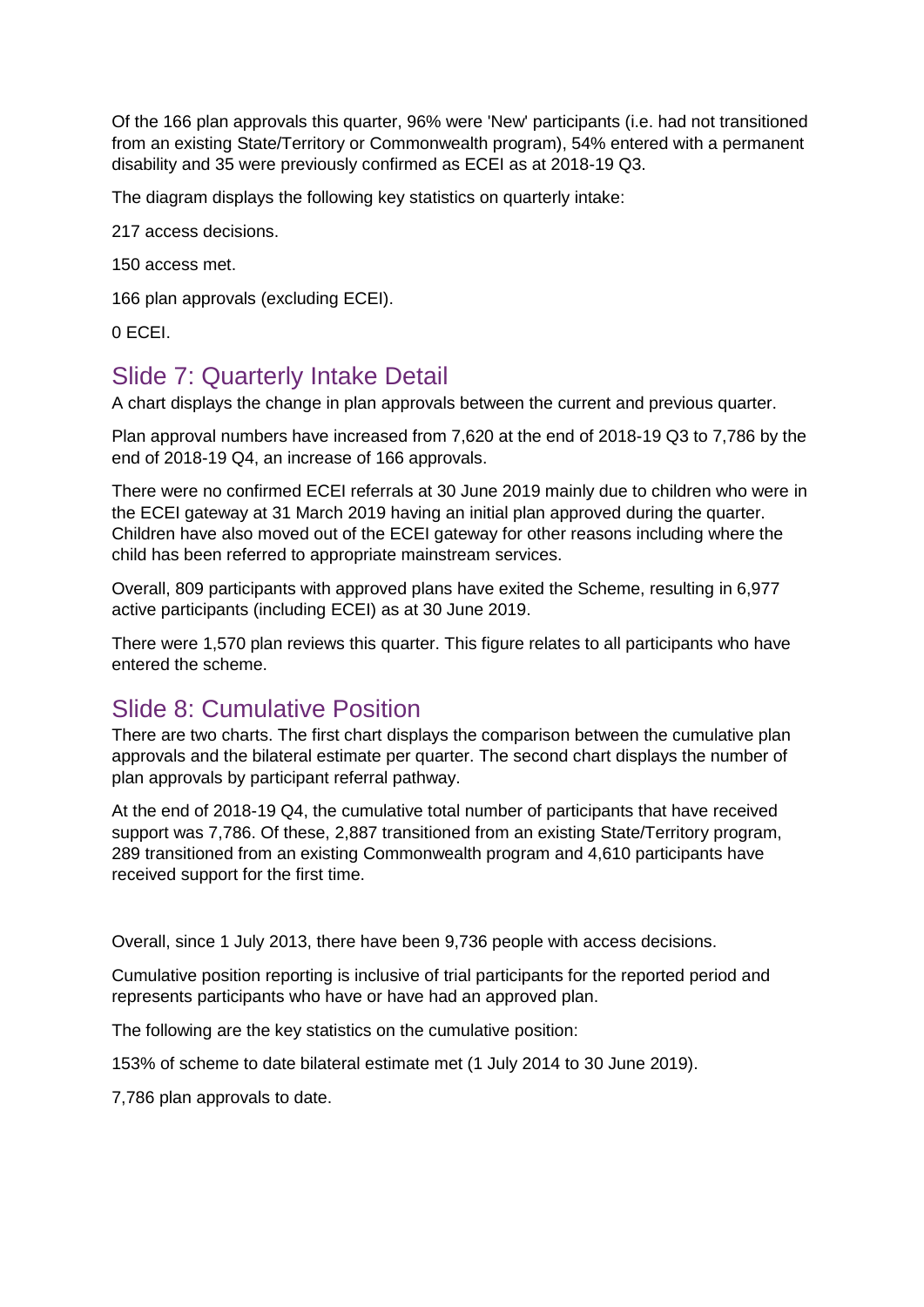Of the 166 plan approvals this quarter, 96% were 'New' participants (i.e. had not transitioned from an existing State/Territory or Commonwealth program), 54% entered with a permanent disability and 35 were previously confirmed as ECEI as at 2018-19 Q3.

The diagram displays the following key statistics on quarterly intake:

217 access decisions.

150 access met.

166 plan approvals (excluding ECEI).

0 ECEI.

### Slide 7: Quarterly Intake Detail

A chart displays the change in plan approvals between the current and previous quarter.

Plan approval numbers have increased from 7,620 at the end of 2018-19 Q3 to 7,786 by the end of 2018-19 Q4, an increase of 166 approvals.

There were no confirmed ECEI referrals at 30 June 2019 mainly due to children who were in the ECEI gateway at 31 March 2019 having an initial plan approved during the quarter. Children have also moved out of the ECEI gateway for other reasons including where the child has been referred to appropriate mainstream services.

Overall, 809 participants with approved plans have exited the Scheme, resulting in 6,977 active participants (including ECEI) as at 30 June 2019.

There were 1,570 plan reviews this quarter. This figure relates to all participants who have entered the scheme.

## Slide 8: Cumulative Position

There are two charts. The first chart displays the comparison between the cumulative plan approvals and the bilateral estimate per quarter. The second chart displays the number of plan approvals by participant referral pathway.

At the end of 2018-19 Q4, the cumulative total number of participants that have received support was 7,786. Of these, 2,887 transitioned from an existing State/Territory program, 289 transitioned from an existing Commonwealth program and 4,610 participants have received support for the first time.

Overall, since 1 July 2013, there have been 9,736 people with access decisions.

Cumulative position reporting is inclusive of trial participants for the reported period and represents participants who have or have had an approved plan.

The following are the key statistics on the cumulative position:

153% of scheme to date bilateral estimate met (1 July 2014 to 30 June 2019).

7,786 plan approvals to date.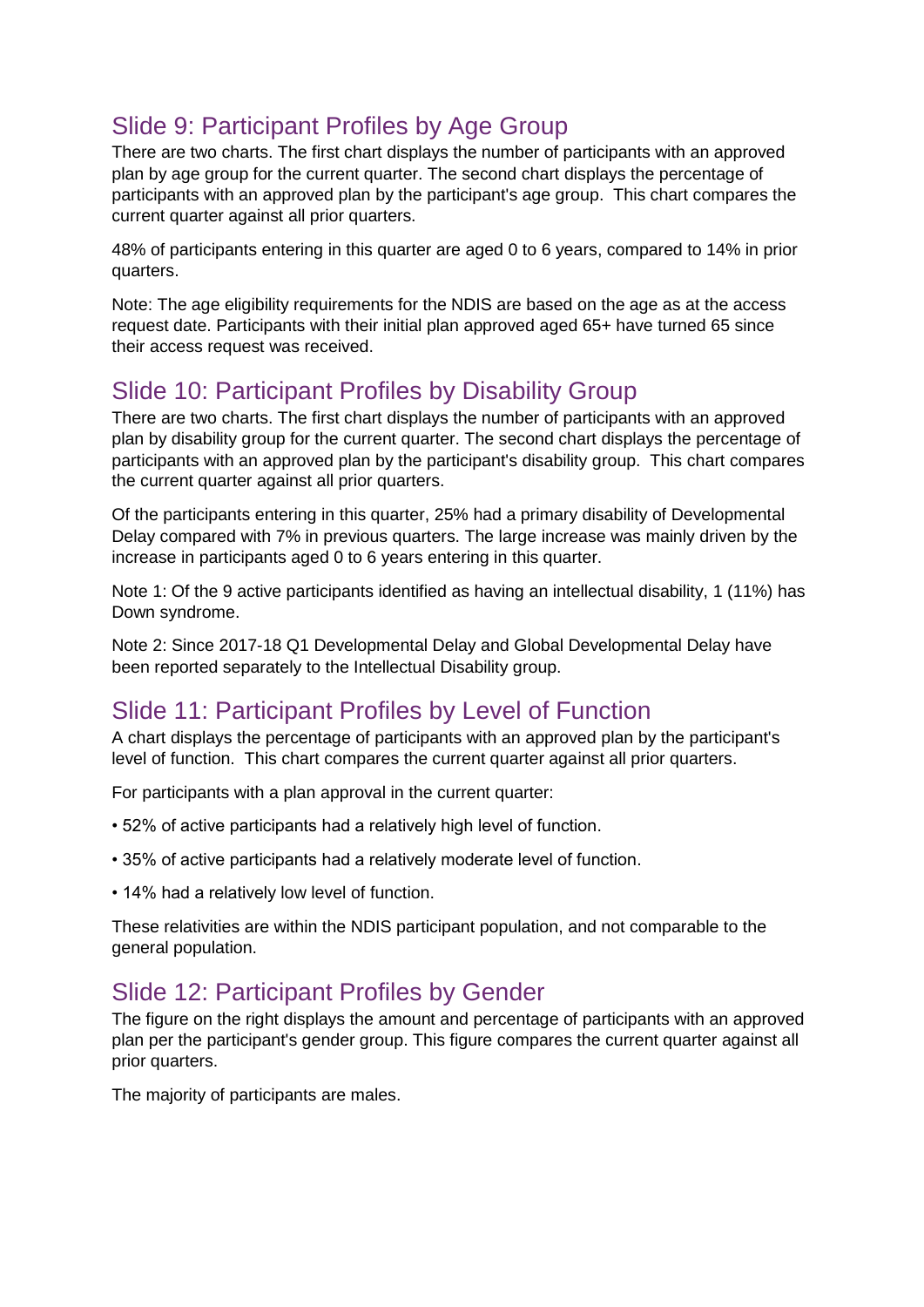# Slide 9: Participant Profiles by Age Group

There are two charts. The first chart displays the number of participants with an approved plan by age group for the current quarter. The second chart displays the percentage of participants with an approved plan by the participant's age group. This chart compares the current quarter against all prior quarters.

48% of participants entering in this quarter are aged 0 to 6 years, compared to 14% in prior quarters.

Note: The age eligibility requirements for the NDIS are based on the age as at the access request date. Participants with their initial plan approved aged 65+ have turned 65 since their access request was received.

# Slide 10: Participant Profiles by Disability Group

There are two charts. The first chart displays the number of participants with an approved plan by disability group for the current quarter. The second chart displays the percentage of participants with an approved plan by the participant's disability group. This chart compares the current quarter against all prior quarters.

Of the participants entering in this quarter, 25% had a primary disability of Developmental Delay compared with 7% in previous quarters. The large increase was mainly driven by the increase in participants aged 0 to 6 years entering in this quarter.

Note 1: Of the 9 active participants identified as having an intellectual disability, 1 (11%) has Down syndrome.

Note 2: Since 2017-18 Q1 Developmental Delay and Global Developmental Delay have been reported separately to the Intellectual Disability group.

# Slide 11: Participant Profiles by Level of Function

A chart displays the percentage of participants with an approved plan by the participant's level of function. This chart compares the current quarter against all prior quarters.

For participants with a plan approval in the current quarter:

- 52% of active participants had a relatively high level of function.
- 35% of active participants had a relatively moderate level of function.
- 14% had a relatively low level of function.

These relativities are within the NDIS participant population, and not comparable to the general population.

# Slide 12: Participant Profiles by Gender

The figure on the right displays the amount and percentage of participants with an approved plan per the participant's gender group. This figure compares the current quarter against all prior quarters.

The majority of participants are males.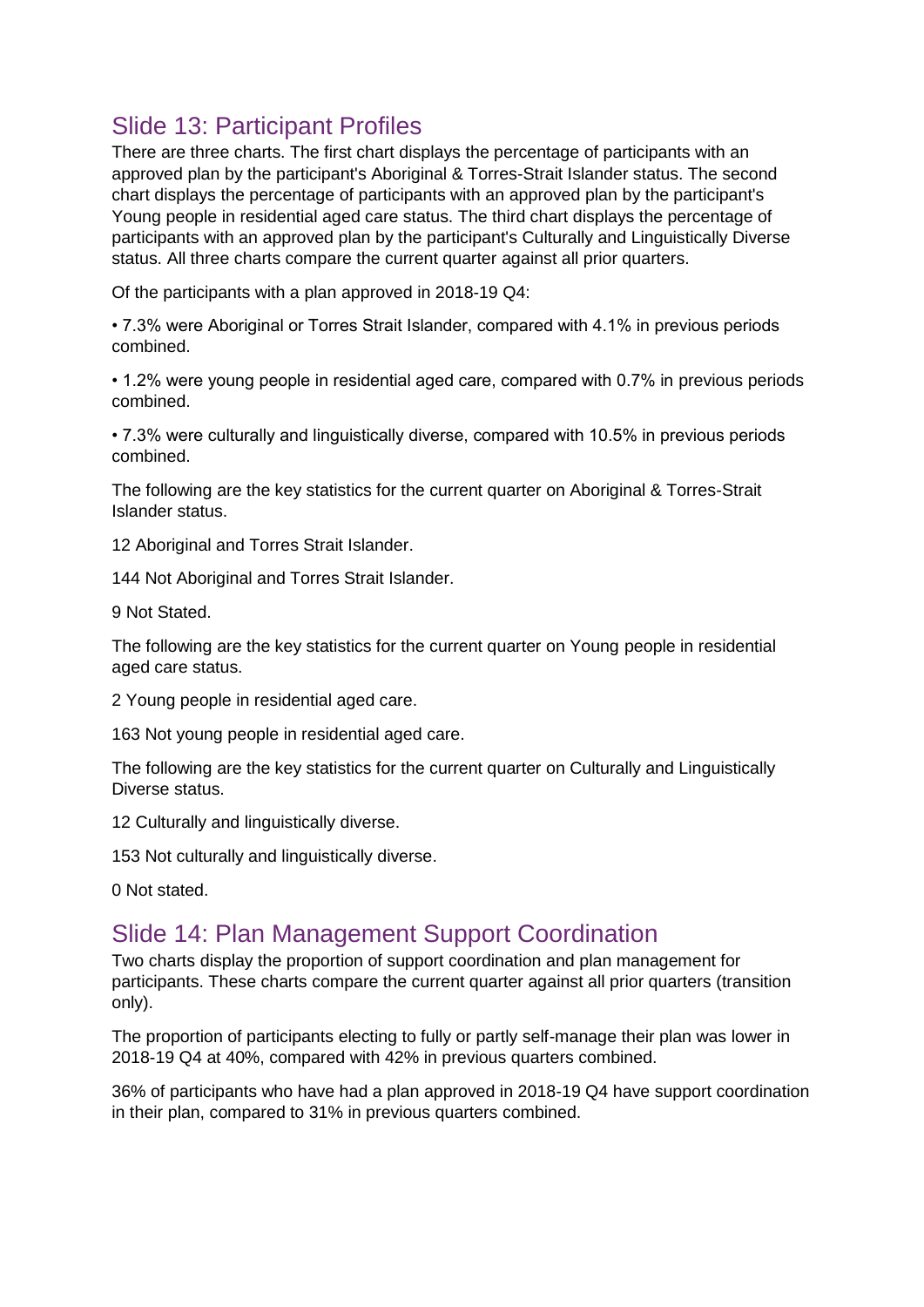# Slide 13: Participant Profiles

There are three charts. The first chart displays the percentage of participants with an approved plan by the participant's Aboriginal & Torres-Strait Islander status. The second chart displays the percentage of participants with an approved plan by the participant's Young people in residential aged care status. The third chart displays the percentage of participants with an approved plan by the participant's Culturally and Linguistically Diverse status. All three charts compare the current quarter against all prior quarters.

Of the participants with a plan approved in 2018-19 Q4:

• 7.3% were Aboriginal or Torres Strait Islander, compared with 4.1% in previous periods combined.

• 1.2% were young people in residential aged care, compared with 0.7% in previous periods combined.

• 7.3% were culturally and linguistically diverse, compared with 10.5% in previous periods combined.

The following are the key statistics for the current quarter on Aboriginal & Torres-Strait Islander status.

12 Aboriginal and Torres Strait Islander.

144 Not Aboriginal and Torres Strait Islander.

9 Not Stated.

The following are the key statistics for the current quarter on Young people in residential aged care status.

2 Young people in residential aged care.

163 Not young people in residential aged care.

The following are the key statistics for the current quarter on Culturally and Linguistically Diverse status.

12 Culturally and linguistically diverse.

153 Not culturally and linguistically diverse.

0 Not stated.

### Slide 14: Plan Management Support Coordination

Two charts display the proportion of support coordination and plan management for participants. These charts compare the current quarter against all prior quarters (transition only).

The proportion of participants electing to fully or partly self-manage their plan was lower in 2018-19 Q4 at 40%, compared with 42% in previous quarters combined.

36% of participants who have had a plan approved in 2018-19 Q4 have support coordination in their plan, compared to 31% in previous quarters combined.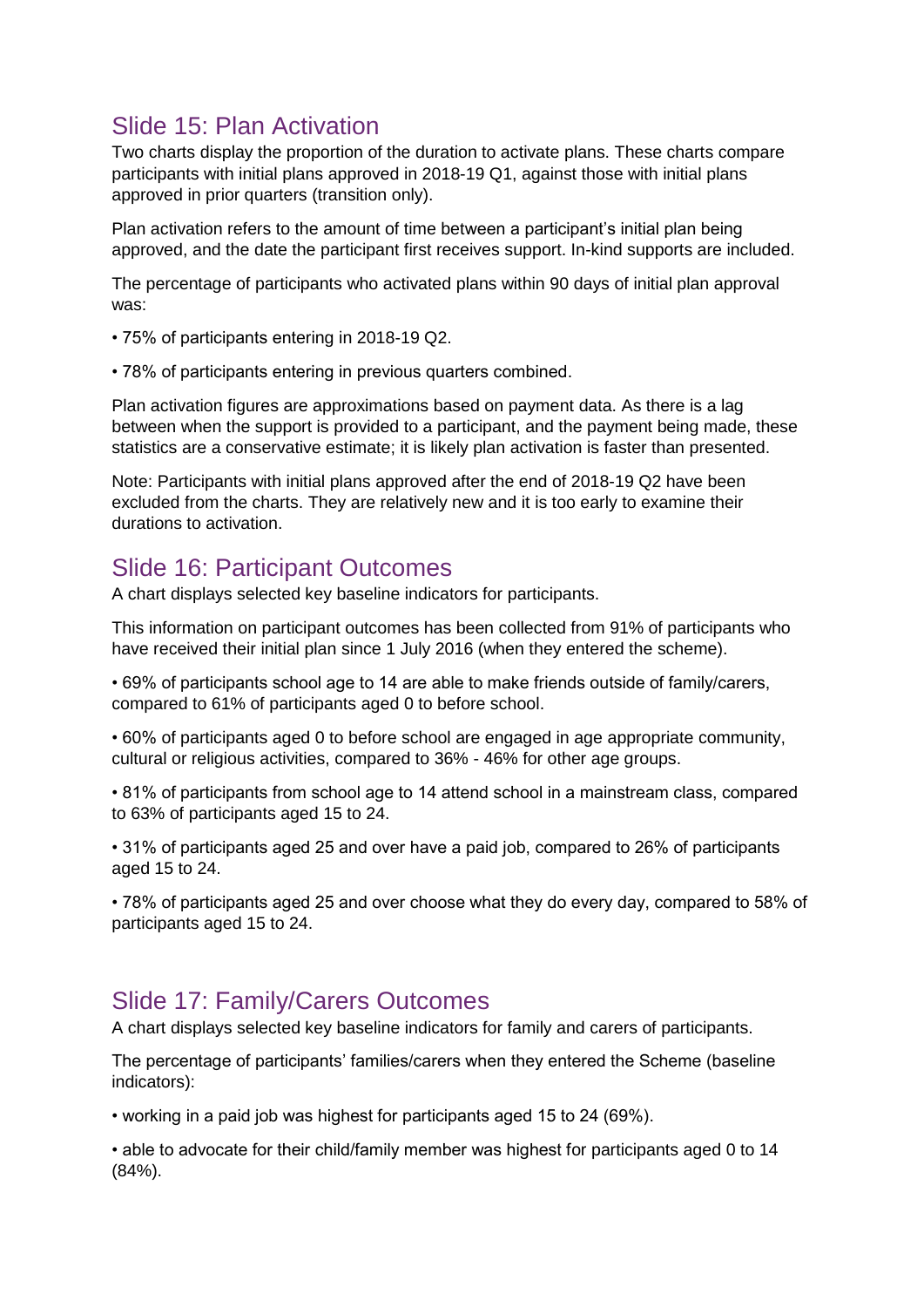# Slide 15: Plan Activation

Two charts display the proportion of the duration to activate plans. These charts compare participants with initial plans approved in 2018-19 Q1, against those with initial plans approved in prior quarters (transition only).

Plan activation refers to the amount of time between a participant's initial plan being approved, and the date the participant first receives support. In-kind supports are included.

The percentage of participants who activated plans within 90 days of initial plan approval was:

- 75% of participants entering in 2018-19 Q2.
- 78% of participants entering in previous quarters combined.

Plan activation figures are approximations based on payment data. As there is a lag between when the support is provided to a participant, and the payment being made, these statistics are a conservative estimate; it is likely plan activation is faster than presented.

Note: Participants with initial plans approved after the end of 2018-19 Q2 have been excluded from the charts. They are relatively new and it is too early to examine their durations to activation.

## Slide 16: Participant Outcomes

A chart displays selected key baseline indicators for participants.

This information on participant outcomes has been collected from 91% of participants who have received their initial plan since 1 July 2016 (when they entered the scheme).

• 69% of participants school age to 14 are able to make friends outside of family/carers, compared to 61% of participants aged 0 to before school.

• 60% of participants aged 0 to before school are engaged in age appropriate community, cultural or religious activities, compared to 36% - 46% for other age groups.

• 81% of participants from school age to 14 attend school in a mainstream class, compared to 63% of participants aged 15 to 24.

• 31% of participants aged 25 and over have a paid job, compared to 26% of participants aged 15 to 24.

• 78% of participants aged 25 and over choose what they do every day, compared to 58% of participants aged 15 to 24.

## Slide 17: Family/Carers Outcomes

A chart displays selected key baseline indicators for family and carers of participants.

The percentage of participants' families/carers when they entered the Scheme (baseline indicators):

• working in a paid job was highest for participants aged 15 to 24 (69%).

• able to advocate for their child/family member was highest for participants aged 0 to 14 (84%).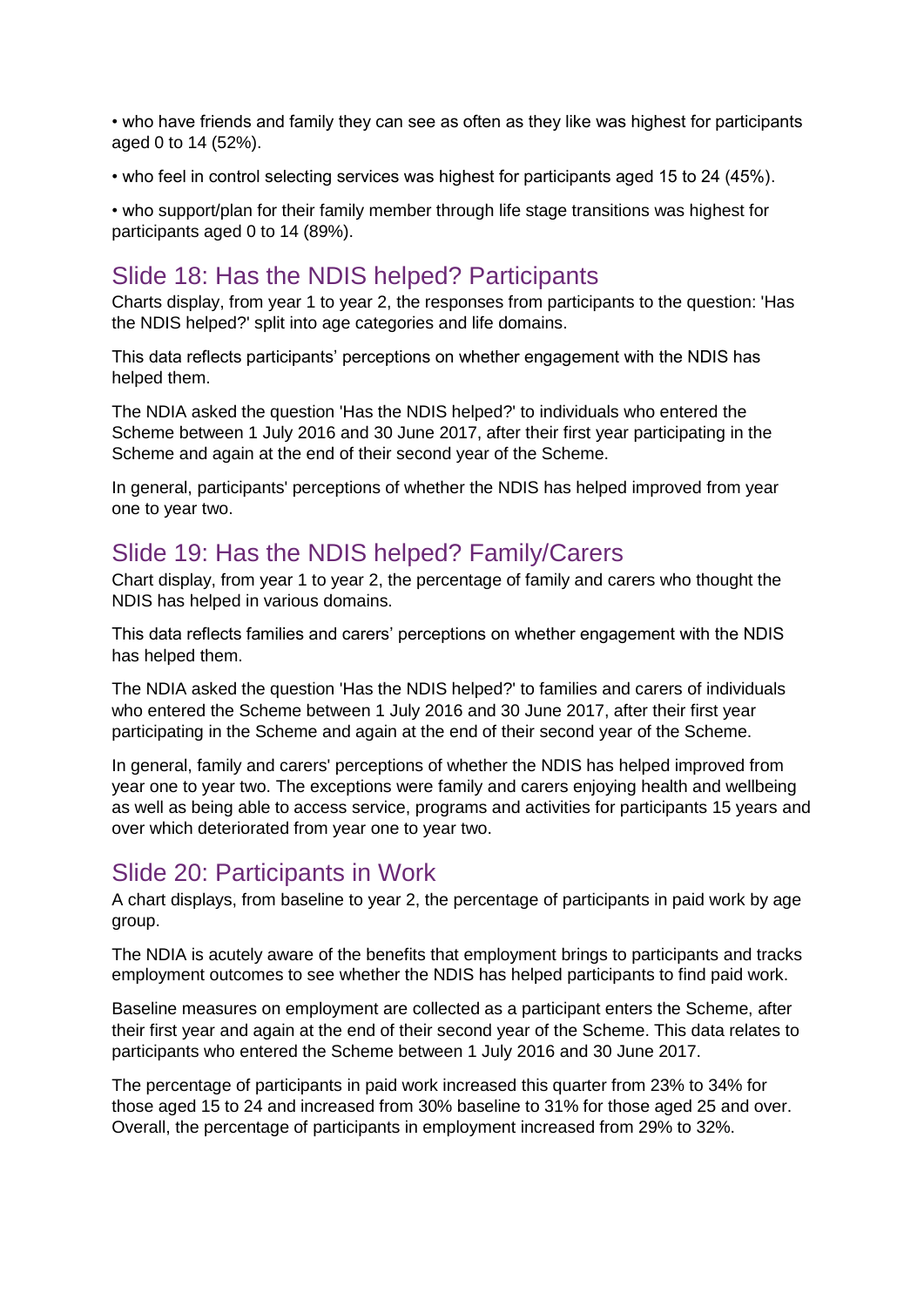• who have friends and family they can see as often as they like was highest for participants aged 0 to 14 (52%).

• who feel in control selecting services was highest for participants aged 15 to 24 (45%).

• who support/plan for their family member through life stage transitions was highest for participants aged 0 to 14 (89%).

#### Slide 18: Has the NDIS helped? Participants

Charts display, from year 1 to year 2, the responses from participants to the question: 'Has the NDIS helped?' split into age categories and life domains.

This data reflects participants' perceptions on whether engagement with the NDIS has helped them.

The NDIA asked the question 'Has the NDIS helped?' to individuals who entered the Scheme between 1 July 2016 and 30 June 2017, after their first year participating in the Scheme and again at the end of their second year of the Scheme.

In general, participants' perceptions of whether the NDIS has helped improved from year one to year two.

### Slide 19: Has the NDIS helped? Family/Carers

Chart display, from year 1 to year 2, the percentage of family and carers who thought the NDIS has helped in various domains.

This data reflects families and carers' perceptions on whether engagement with the NDIS has helped them.

The NDIA asked the question 'Has the NDIS helped?' to families and carers of individuals who entered the Scheme between 1 July 2016 and 30 June 2017, after their first year participating in the Scheme and again at the end of their second year of the Scheme.

In general, family and carers' perceptions of whether the NDIS has helped improved from year one to year two. The exceptions were family and carers enjoying health and wellbeing as well as being able to access service, programs and activities for participants 15 years and over which deteriorated from year one to year two.

#### Slide 20: Participants in Work

A chart displays, from baseline to year 2, the percentage of participants in paid work by age group.

The NDIA is acutely aware of the benefits that employment brings to participants and tracks employment outcomes to see whether the NDIS has helped participants to find paid work.

Baseline measures on employment are collected as a participant enters the Scheme, after their first year and again at the end of their second year of the Scheme. This data relates to participants who entered the Scheme between 1 July 2016 and 30 June 2017.

The percentage of participants in paid work increased this quarter from 23% to 34% for those aged 15 to 24 and increased from 30% baseline to 31% for those aged 25 and over. Overall, the percentage of participants in employment increased from 29% to 32%.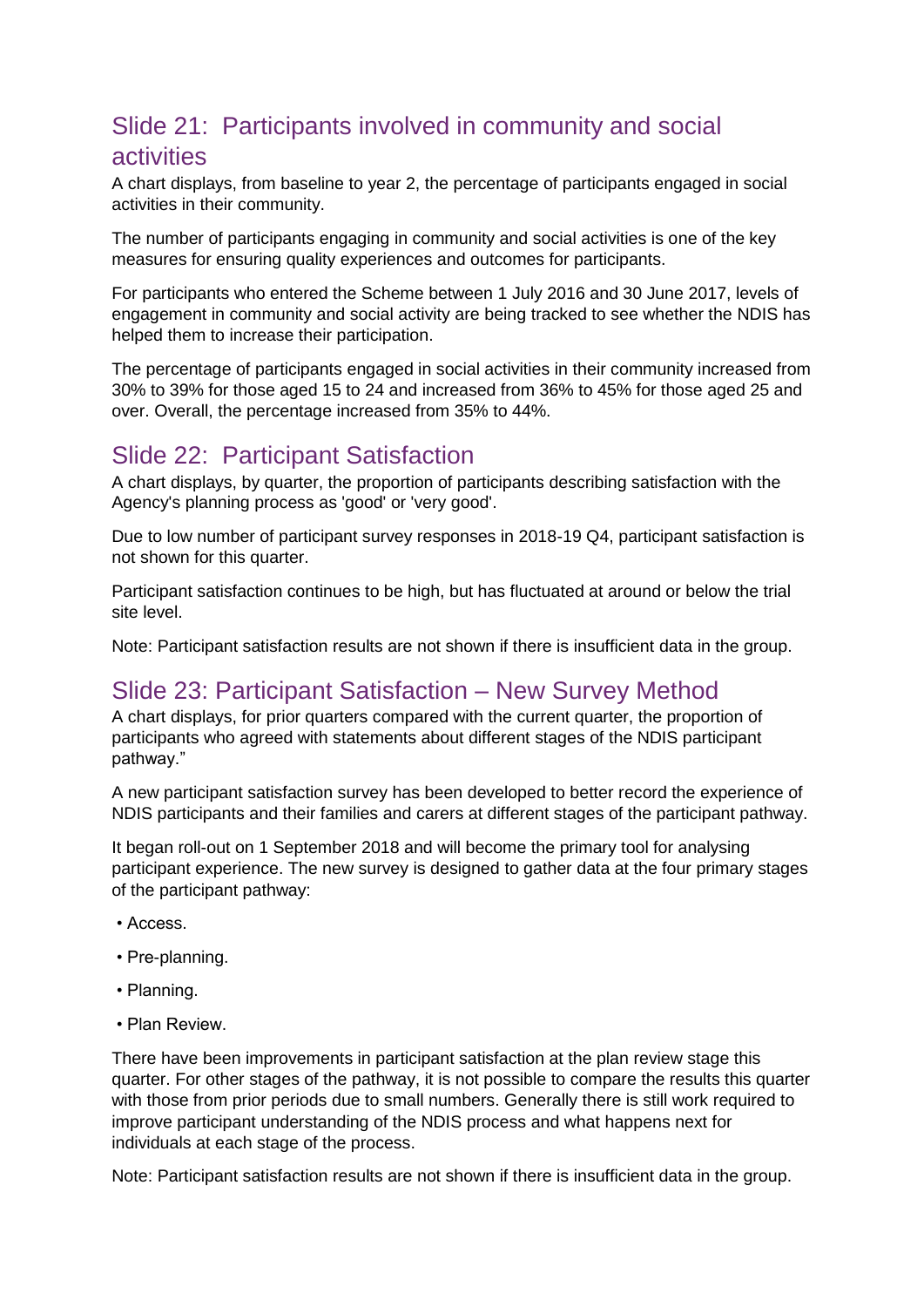# Slide 21: Participants involved in community and social activities

A chart displays, from baseline to year 2, the percentage of participants engaged in social activities in their community.

The number of participants engaging in community and social activities is one of the key measures for ensuring quality experiences and outcomes for participants.

For participants who entered the Scheme between 1 July 2016 and 30 June 2017, levels of engagement in community and social activity are being tracked to see whether the NDIS has helped them to increase their participation.

The percentage of participants engaged in social activities in their community increased from 30% to 39% for those aged 15 to 24 and increased from 36% to 45% for those aged 25 and over. Overall, the percentage increased from 35% to 44%.

## Slide 22: Participant Satisfaction

A chart displays, by quarter, the proportion of participants describing satisfaction with the Agency's planning process as 'good' or 'very good'.

Due to low number of participant survey responses in 2018-19 Q4, participant satisfaction is not shown for this quarter.

Participant satisfaction continues to be high, but has fluctuated at around or below the trial site level.

Note: Participant satisfaction results are not shown if there is insufficient data in the group.

# Slide 23: Participant Satisfaction – New Survey Method

A chart displays, for prior quarters compared with the current quarter, the proportion of participants who agreed with statements about different stages of the NDIS participant pathway."

A new participant satisfaction survey has been developed to better record the experience of NDIS participants and their families and carers at different stages of the participant pathway.

It began roll-out on 1 September 2018 and will become the primary tool for analysing participant experience. The new survey is designed to gather data at the four primary stages of the participant pathway:

- Access.
- Pre-planning.
- Planning.
- Plan Review.

There have been improvements in participant satisfaction at the plan review stage this quarter. For other stages of the pathway, it is not possible to compare the results this quarter with those from prior periods due to small numbers. Generally there is still work required to improve participant understanding of the NDIS process and what happens next for individuals at each stage of the process.

Note: Participant satisfaction results are not shown if there is insufficient data in the group.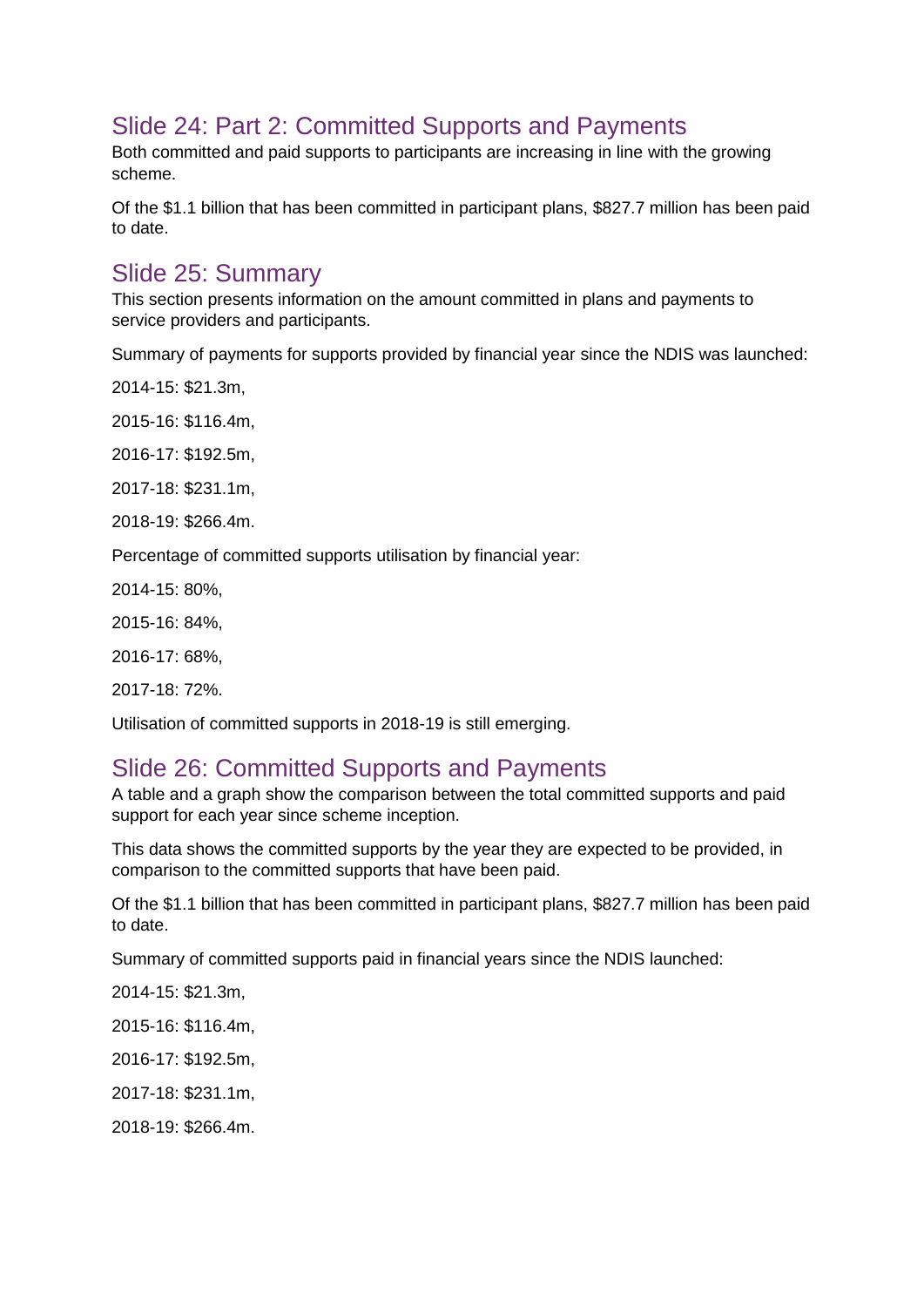# Slide 24: Part 2: Committed Supports and Payments

Both committed and paid supports to participants are increasing in line with the growing scheme.

Of the \$1.1 billion that has been committed in participant plans, \$827.7 million has been paid to date.

### Slide 25: Summary

This section presents information on the amount committed in plans and payments to service providers and participants.

Summary of payments for supports provided by financial year since the NDIS was launched:

2014-15: \$21.3m,

2015-16: \$116.4m,

2016-17: \$192.5m,

2017-18: \$231.1m,

2018-19: \$266.4m.

Percentage of committed supports utilisation by financial year:

2014-15: 80%,

2015-16: 84%,

2016-17: 68%,

2017-18: 72%.

Utilisation of committed supports in 2018-19 is still emerging.

### Slide 26: Committed Supports and Payments

A table and a graph show the comparison between the total committed supports and paid support for each year since scheme inception.

This data shows the committed supports by the year they are expected to be provided, in comparison to the committed supports that have been paid.

Of the \$1.1 billion that has been committed in participant plans, \$827.7 million has been paid to date.

Summary of committed supports paid in financial years since the NDIS launched:

2014-15: \$21.3m,

2015-16: \$116.4m,

2016-17: \$192.5m,

2017-18: \$231.1m,

2018-19: \$266.4m.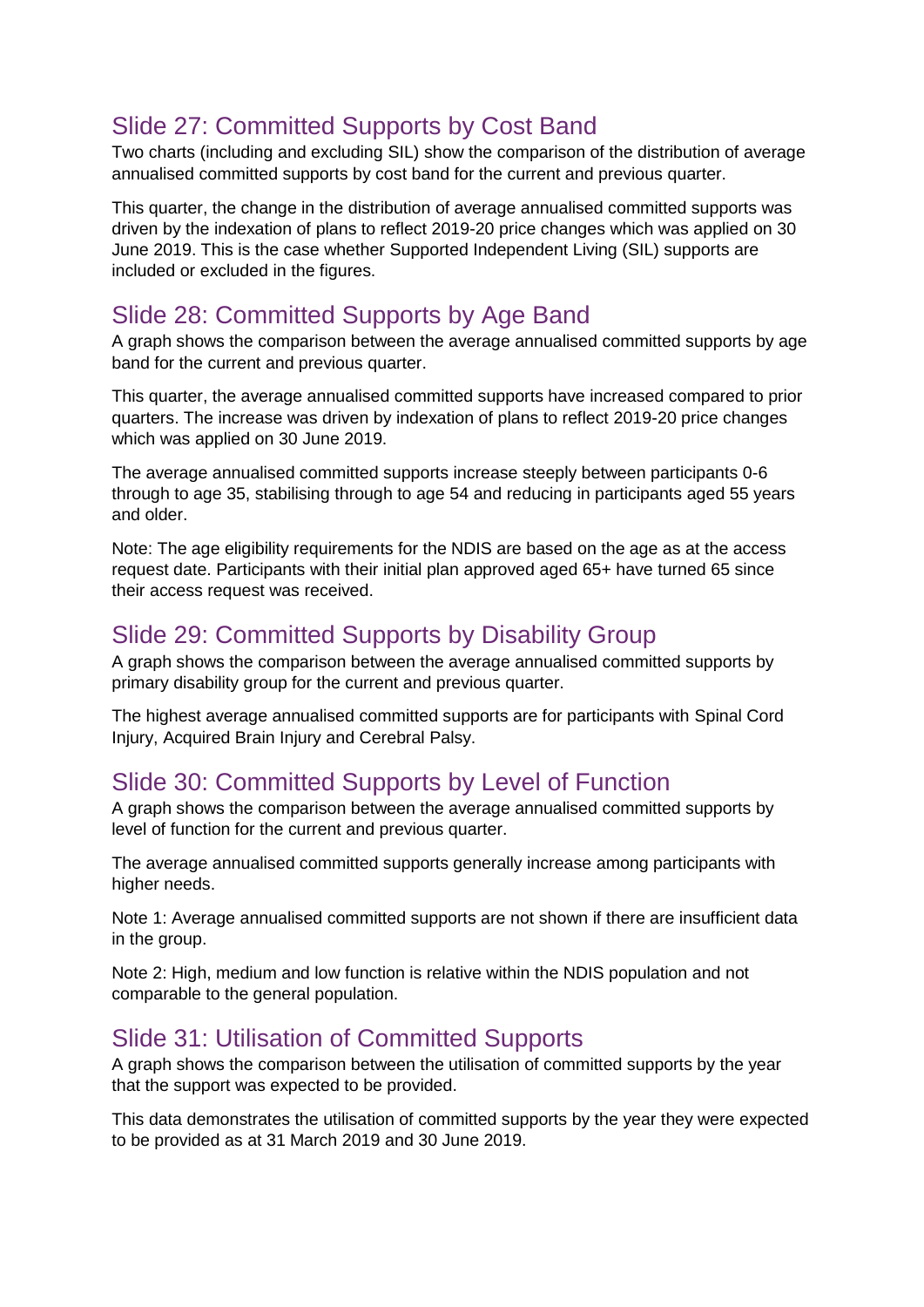# Slide 27: Committed Supports by Cost Band

Two charts (including and excluding SIL) show the comparison of the distribution of average annualised committed supports by cost band for the current and previous quarter.

This quarter, the change in the distribution of average annualised committed supports was driven by the indexation of plans to reflect 2019-20 price changes which was applied on 30 June 2019. This is the case whether Supported Independent Living (SIL) supports are included or excluded in the figures.

# Slide 28: Committed Supports by Age Band

A graph shows the comparison between the average annualised committed supports by age band for the current and previous quarter.

This quarter, the average annualised committed supports have increased compared to prior quarters. The increase was driven by indexation of plans to reflect 2019-20 price changes which was applied on 30 June 2019.

The average annualised committed supports increase steeply between participants 0-6 through to age 35, stabilising through to age 54 and reducing in participants aged 55 years and older.

Note: The age eligibility requirements for the NDIS are based on the age as at the access request date. Participants with their initial plan approved aged 65+ have turned 65 since their access request was received.

# Slide 29: Committed Supports by Disability Group

A graph shows the comparison between the average annualised committed supports by primary disability group for the current and previous quarter.

The highest average annualised committed supports are for participants with Spinal Cord Injury, Acquired Brain Injury and Cerebral Palsy.

# Slide 30: Committed Supports by Level of Function

A graph shows the comparison between the average annualised committed supports by level of function for the current and previous quarter.

The average annualised committed supports generally increase among participants with higher needs.

Note 1: Average annualised committed supports are not shown if there are insufficient data in the group.

Note 2: High, medium and low function is relative within the NDIS population and not comparable to the general population.

## Slide 31: Utilisation of Committed Supports

A graph shows the comparison between the utilisation of committed supports by the year that the support was expected to be provided.

This data demonstrates the utilisation of committed supports by the year they were expected to be provided as at 31 March 2019 and 30 June 2019.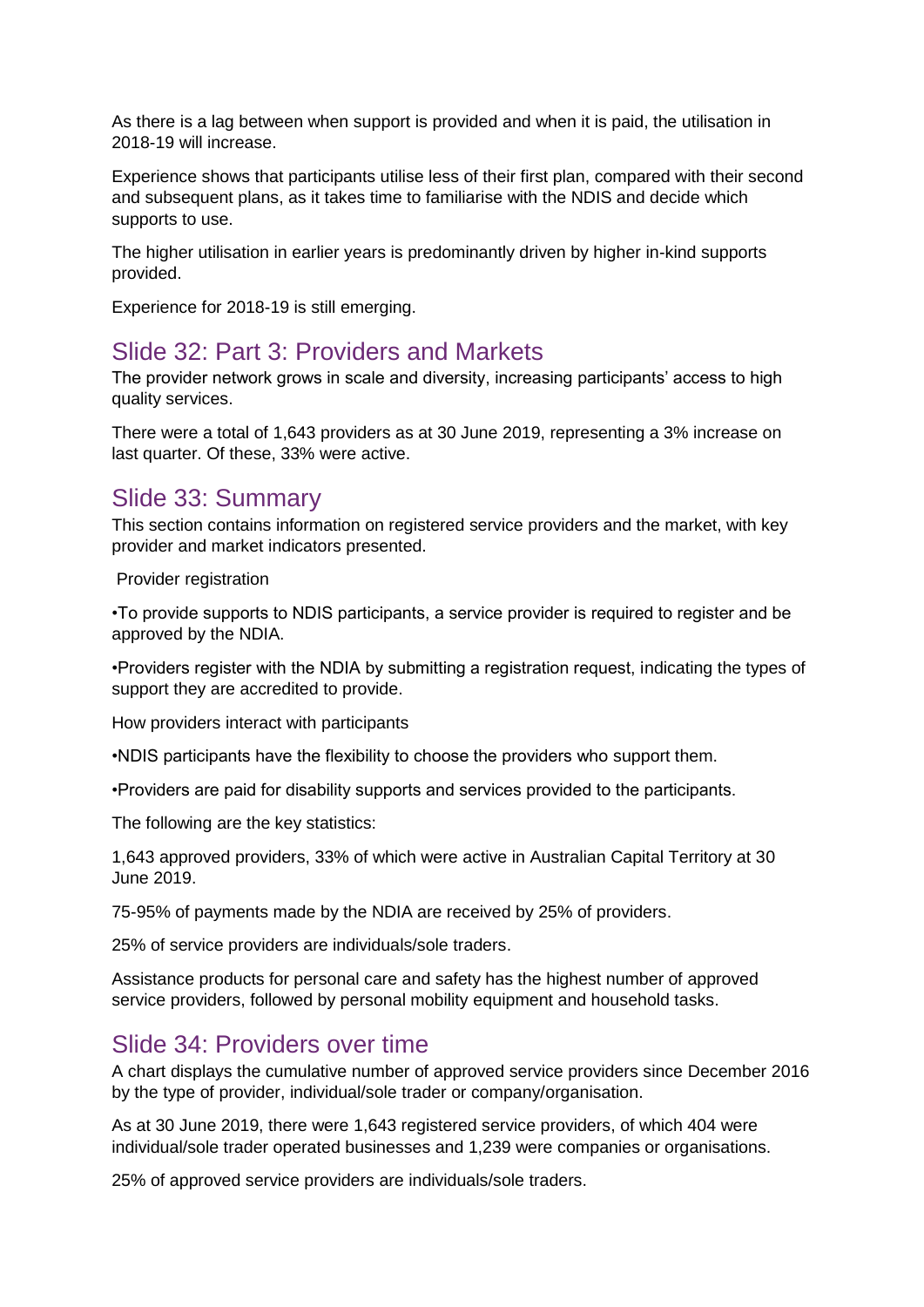As there is a lag between when support is provided and when it is paid, the utilisation in 2018-19 will increase.

Experience shows that participants utilise less of their first plan, compared with their second and subsequent plans, as it takes time to familiarise with the NDIS and decide which supports to use.

The higher utilisation in earlier years is predominantly driven by higher in-kind supports provided.

Experience for 2018-19 is still emerging.

#### Slide 32: Part 3: Providers and Markets

The provider network grows in scale and diversity, increasing participants' access to high quality services.

There were a total of 1,643 providers as at 30 June 2019, representing a 3% increase on last quarter. Of these, 33% were active.

#### Slide 33: Summary

This section contains information on registered service providers and the market, with key provider and market indicators presented.

Provider registration

•To provide supports to NDIS participants, a service provider is required to register and be approved by the NDIA.

•Providers register with the NDIA by submitting a registration request, indicating the types of support they are accredited to provide.

How providers interact with participants

•NDIS participants have the flexibility to choose the providers who support them.

•Providers are paid for disability supports and services provided to the participants.

The following are the key statistics:

1,643 approved providers, 33% of which were active in Australian Capital Territory at 30 June 2019.

75-95% of payments made by the NDIA are received by 25% of providers.

25% of service providers are individuals/sole traders.

Assistance products for personal care and safety has the highest number of approved service providers, followed by personal mobility equipment and household tasks.

#### Slide 34: Providers over time

A chart displays the cumulative number of approved service providers since December 2016 by the type of provider, individual/sole trader or company/organisation.

As at 30 June 2019, there were 1,643 registered service providers, of which 404 were individual/sole trader operated businesses and 1,239 were companies or organisations.

25% of approved service providers are individuals/sole traders.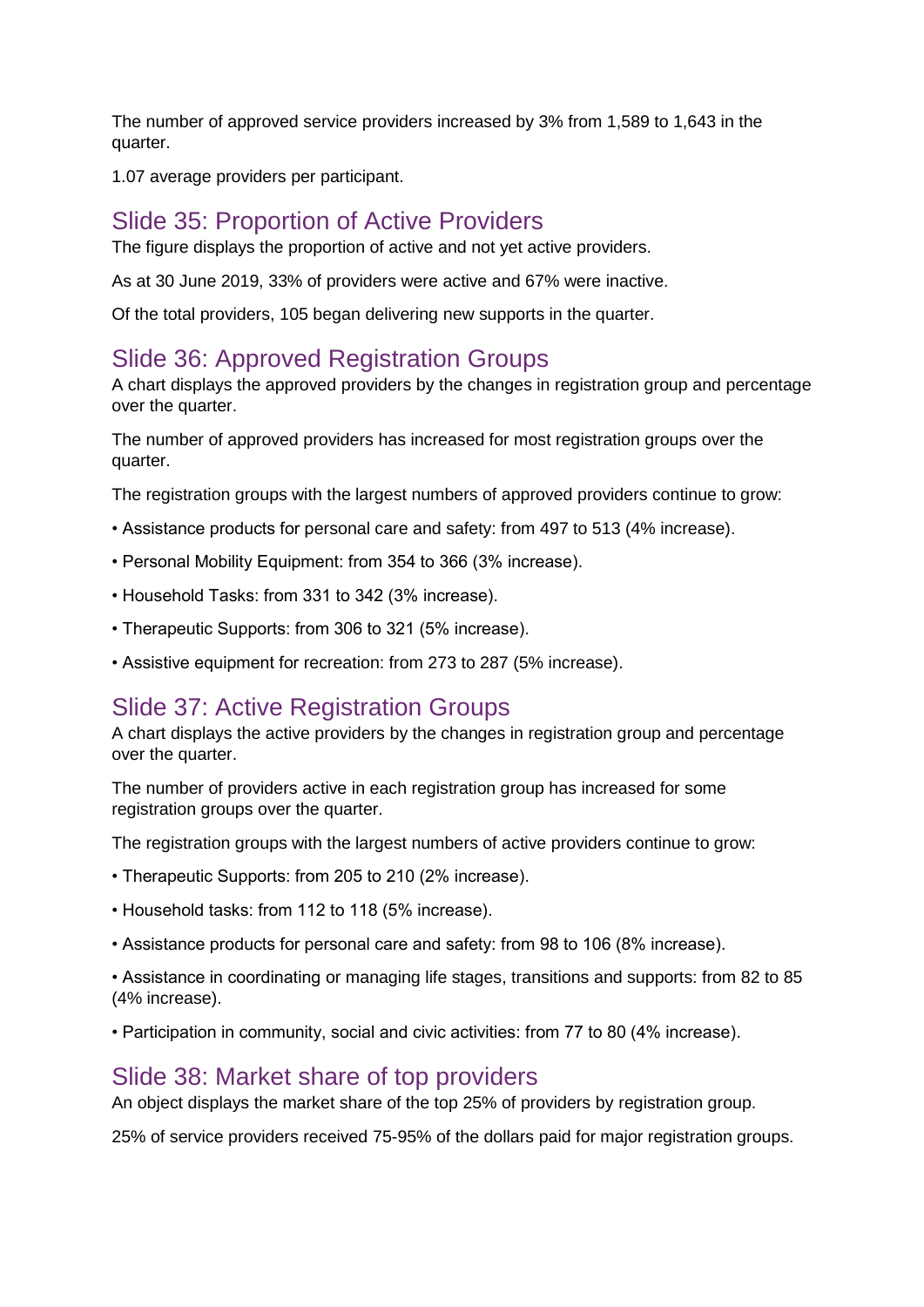The number of approved service providers increased by 3% from 1,589 to 1,643 in the quarter.

1.07 average providers per participant.

#### Slide 35: Proportion of Active Providers

The figure displays the proportion of active and not yet active providers.

As at 30 June 2019, 33% of providers were active and 67% were inactive.

Of the total providers, 105 began delivering new supports in the quarter.

### Slide 36: Approved Registration Groups

A chart displays the approved providers by the changes in registration group and percentage over the quarter.

The number of approved providers has increased for most registration groups over the quarter.

The registration groups with the largest numbers of approved providers continue to grow:

- Assistance products for personal care and safety: from 497 to 513 (4% increase).
- Personal Mobility Equipment: from 354 to 366 (3% increase).
- Household Tasks: from 331 to 342 (3% increase).
- Therapeutic Supports: from 306 to 321 (5% increase).
- Assistive equipment for recreation: from 273 to 287 (5% increase).

#### Slide 37: Active Registration Groups

A chart displays the active providers by the changes in registration group and percentage over the quarter.

The number of providers active in each registration group has increased for some registration groups over the quarter.

The registration groups with the largest numbers of active providers continue to grow:

- Therapeutic Supports: from 205 to 210 (2% increase).
- Household tasks: from 112 to 118 (5% increase).
- Assistance products for personal care and safety: from 98 to 106 (8% increase).

• Assistance in coordinating or managing life stages, transitions and supports: from 82 to 85 (4% increase).

• Participation in community, social and civic activities: from 77 to 80 (4% increase).

### Slide 38: Market share of top providers

An object displays the market share of the top 25% of providers by registration group.

25% of service providers received 75-95% of the dollars paid for major registration groups.